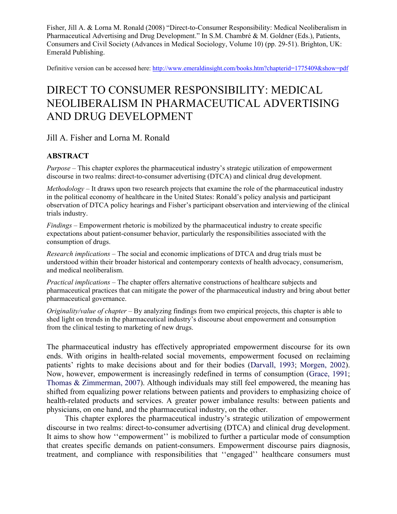Fisher, Jill A. & Lorna M. Ronald (2008) "Direct-to-Consumer Responsibility: Medical Neoliberalism in Pharmaceutical Advertising and Drug Development." In S.M. Chambré & M. Goldner (Eds.), Patients, Consumers and Civil Society (Advances in Medical Sociology, Volume 10) (pp. 29-51). Brighton, UK: Emerald Publishing.

Definitive version can be accessed here: http://www.emeraldinsight.com/books.htm?chapterid=1775409&show=pdf

# DIRECT TO CONSUMER RESPONSIBILITY: MEDICAL NEOLIBERALISM IN PHARMACEUTICAL ADVERTISING AND DRUG DEVELOPMENT

# Jill A. Fisher and Lorna M. Ronald

# **ABSTRACT**

*Purpose* – This chapter explores the pharmaceutical industry's strategic utilization of empowerment discourse in two realms: direct-to-consumer advertising (DTCA) and clinical drug development.

*Methodology* – It draws upon two research projects that examine the role of the pharmaceutical industry in the political economy of healthcare in the United States: Ronald's policy analysis and participant observation of DTCA policy hearings and Fisher's participant observation and interviewing of the clinical trials industry.

*Findings* – Empowerment rhetoric is mobilized by the pharmaceutical industry to create specific expectations about patient-consumer behavior, particularly the responsibilities associated with the consumption of drugs.

*Research implications* – The social and economic implications of DTCA and drug trials must be understood within their broader historical and contemporary contexts of health advocacy, consumerism, and medical neoliberalism.

*Practical implications* – The chapter offers alternative constructions of healthcare subjects and pharmaceutical practices that can mitigate the power of the pharmaceutical industry and bring about better pharmaceutical governance.

*Originality/value of chapter* – By analyzing findings from two empirical projects, this chapter is able to shed light on trends in the pharmaceutical industry's discourse about empowerment and consumption from the clinical testing to marketing of new drugs.

The pharmaceutical industry has effectively appropriated empowerment discourse for its own ends. With origins in health-related social movements, empowerment focused on reclaiming patients' rights to make decisions about and for their bodies (Darvall, 1993; Morgen, 2002). Now, however, empowerment is increasingly redefined in terms of consumption (Grace, 1991; Thomas & Zimmerman, 2007). Although individuals may still feel empowered, the meaning has shifted from equalizing power relations between patients and providers to emphasizing choice of health-related products and services. A greater power imbalance results: between patients and physicians, on one hand, and the pharmaceutical industry, on the other.

This chapter explores the pharmaceutical industry's strategic utilization of empowerment discourse in two realms: direct-to-consumer advertising (DTCA) and clinical drug development. It aims to show how ''empowerment'' is mobilized to further a particular mode of consumption that creates specific demands on patient-consumers. Empowerment discourse pairs diagnosis, treatment, and compliance with responsibilities that ''engaged'' healthcare consumers must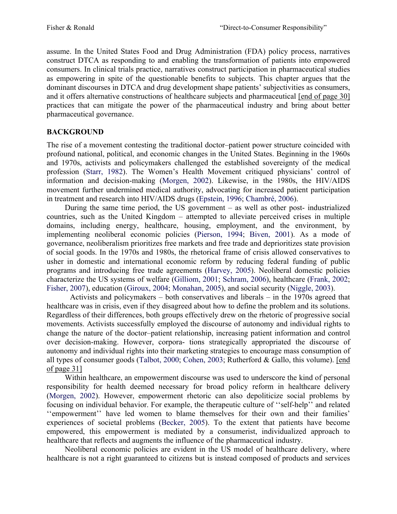assume. In the United States Food and Drug Administration (FDA) policy process, narratives construct DTCA as responding to and enabling the transformation of patients into empowered consumers. In clinical trials practice, narratives construct participation in pharmaceutical studies as empowering in spite of the questionable benefits to subjects. This chapter argues that the dominant discourses in DTCA and drug development shape patients' subjectivities as consumers, and it offers alternative constructions of healthcare subjects and pharmaceutical [end of page 30] practices that can mitigate the power of the pharmaceutical industry and bring about better pharmaceutical governance.

# **BACKGROUND**

The rise of a movement contesting the traditional doctor–patient power structure coincided with profound national, political, and economic changes in the United States. Beginning in the 1960s and 1970s, activists and policymakers challenged the established sovereignty of the medical profession (Starr, 1982). The Women's Health Movement critiqued physicians' control of information and decision-making (Morgen, 2002). Likewise, in the 1980s, the HIV/AIDS movement further undermined medical authority, advocating for increased patient participation in treatment and research into HIV/AIDS drugs (Epstein, 1996; Chambré, 2006).

During the same time period, the US government – as well as other post- industrialized countries, such as the United Kingdom – attempted to alleviate perceived crises in multiple domains, including energy, healthcare, housing, employment, and the environment, by implementing neoliberal economic policies (Pierson, 1994; Biven, 2001). As a mode of governance, neoliberalism prioritizes free markets and free trade and deprioritizes state provision of social goods. In the 1970s and 1980s, the rhetorical frame of crisis allowed conservatives to usher in domestic and international economic reform by reducing federal funding of public programs and introducing free trade agreements (Harvey, 2005). Neoliberal domestic policies characterize the US systems of welfare (Gilliom, 2001; Schram, 2006), healthcare (Frank, 2002; Fisher, 2007), education (Giroux, 2004; Monahan, 2005), and social security (Niggle, 2003).

Activists and policymakers – both conservatives and liberals – in the 1970s agreed that healthcare was in crisis, even if they disagreed about how to define the problem and its solutions. Regardless of their differences, both groups effectively drew on the rhetoric of progressive social movements. Activists successfully employed the discourse of autonomy and individual rights to change the nature of the doctor–patient relationship, increasing patient information and control over decision-making. However, corpora- tions strategically appropriated the discourse of autonomy and individual rights into their marketing strategies to encourage mass consumption of all types of consumer goods (Talbot, 2000; Cohen, 2003; Rutherford & Gallo, this volume). [end of page 31]

Within healthcare, an empowerment discourse was used to underscore the kind of personal responsibility for health deemed necessary for broad policy reform in healthcare delivery (Morgen, 2002). However, empowerment rhetoric can also depoliticize social problems by focusing on individual behavior. For example, the therapeutic culture of ''self-help'' and related ''empowerment'' have led women to blame themselves for their own and their families' experiences of societal problems (Becker, 2005). To the extent that patients have become empowered, this empowerment is mediated by a consumerist, individualized approach to healthcare that reflects and augments the influence of the pharmaceutical industry.

Neoliberal economic policies are evident in the US model of healthcare delivery, where healthcare is not a right guaranteed to citizens but is instead composed of products and services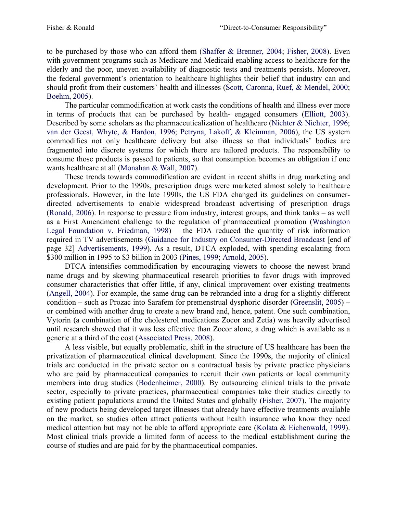to be purchased by those who can afford them (Shaffer & Brenner, 2004; Fisher, 2008). Even with government programs such as Medicare and Medicaid enabling access to healthcare for the elderly and the poor, uneven availability of diagnostic tests and treatments persists. Moreover, the federal government's orientation to healthcare highlights their belief that industry can and should profit from their customers' health and illnesses (Scott, Caronna, Ruef, & Mendel, 2000; Boehm, 2005).

The particular commodification at work casts the conditions of health and illness ever more in terms of products that can be purchased by health- engaged consumers (Elliott, 2003). Described by some scholars as the pharmaceuticalization of healthcare (Nichter & Nichter, 1996; van der Geest, Whyte, & Hardon, 1996; Petryna, Lakoff, & Kleinman, 2006), the US system commodifies not only healthcare delivery but also illness so that individuals' bodies are fragmented into discrete systems for which there are tailored products. The responsibility to consume those products is passed to patients, so that consumption becomes an obligation if one wants healthcare at all (Monahan & Wall, 2007).

These trends towards commodification are evident in recent shifts in drug marketing and development. Prior to the 1990s, prescription drugs were marketed almost solely to healthcare professionals. However, in the late 1990s, the US FDA changed its guidelines on consumerdirected advertisements to enable widespread broadcast advertising of prescription drugs (Ronald, 2006). In response to pressure from industry, interest groups, and think tanks – as well as a First Amendment challenge to the regulation of pharmaceutical promotion (Washington Legal Foundation v. Friedman, 1998) – the FDA reduced the quantity of risk information required in TV advertisements (Guidance for Industry on Consumer-Directed Broadcast [end of page 32] Advertisements, 1999). As a result, DTCA exploded, with spending escalating from \$300 million in 1995 to \$3 billion in 2003 (Pines, 1999; Arnold, 2005).

DTCA intensifies commodification by encouraging viewers to choose the newest brand name drugs and by skewing pharmaceutical research priorities to favor drugs with improved consumer characteristics that offer little, if any, clinical improvement over existing treatments (Angell, 2004). For example, the same drug can be rebranded into a drug for a slightly different condition – such as Prozac into Sarafem for premenstrual dysphoric disorder (Greenslit, 2005) – or combined with another drug to create a new brand and, hence, patent. One such combination, Vytorin (a combination of the cholesterol medications Zocor and Zetia) was heavily advertised until research showed that it was less effective than Zocor alone, a drug which is available as a generic at a third of the cost (Associated Press, 2008).

A less visible, but equally problematic, shift in the structure of US healthcare has been the privatization of pharmaceutical clinical development. Since the 1990s, the majority of clinical trials are conducted in the private sector on a contractual basis by private practice physicians who are paid by pharmaceutical companies to recruit their own patients or local community members into drug studies (Bodenheimer, 2000). By outsourcing clinical trials to the private sector, especially to private practices, pharmaceutical companies take their studies directly to existing patient populations around the United States and globally (Fisher, 2007). The majority of new products being developed target illnesses that already have effective treatments available on the market, so studies often attract patients without health insurance who know they need medical attention but may not be able to afford appropriate care (Kolata & Eichenwald, 1999). Most clinical trials provide a limited form of access to the medical establishment during the course of studies and are paid for by the pharmaceutical companies.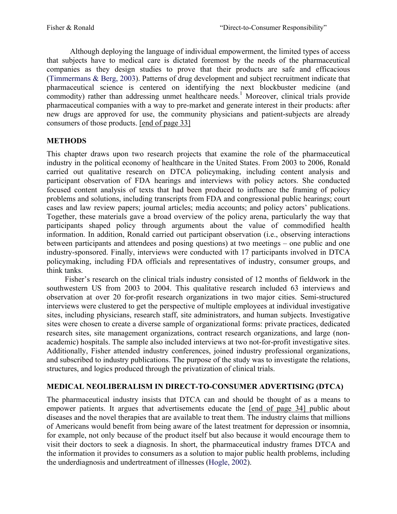Although deploying the language of individual empowerment, the limited types of access that subjects have to medical care is dictated foremost by the needs of the pharmaceutical companies as they design studies to prove that their products are safe and efficacious (Timmermans & Berg, 2003). Patterns of drug development and subject recruitment indicate that pharmaceutical science is centered on identifying the next blockbuster medicine (and commodity) rather than addressing unmet healthcare needs.<sup>1</sup> Moreover, clinical trials provide pharmaceutical companies with a way to pre-market and generate interest in their products: after new drugs are approved for use, the community physicians and patient-subjects are already consumers of those products. [end of page 33]

# **METHODS**

This chapter draws upon two research projects that examine the role of the pharmaceutical industry in the political economy of healthcare in the United States. From 2003 to 2006, Ronald carried out qualitative research on DTCA policymaking, including content analysis and participant observation of FDA hearings and interviews with policy actors. She conducted focused content analysis of texts that had been produced to influence the framing of policy problems and solutions, including transcripts from FDA and congressional public hearings; court cases and law review papers; journal articles; media accounts; and policy actors' publications. Together, these materials gave a broad overview of the policy arena, particularly the way that participants shaped policy through arguments about the value of commodified health information. In addition, Ronald carried out participant observation (i.e., observing interactions between participants and attendees and posing questions) at two meetings – one public and one industry-sponsored. Finally, interviews were conducted with 17 participants involved in DTCA policymaking, including FDA officials and representatives of industry, consumer groups, and think tanks.

Fisher's research on the clinical trials industry consisted of 12 months of fieldwork in the southwestern US from 2003 to 2004. This qualitative research included 63 interviews and observation at over 20 for-profit research organizations in two major cities. Semi-structured interviews were clustered to get the perspective of multiple employees at individual investigative sites, including physicians, research staff, site administrators, and human subjects. Investigative sites were chosen to create a diverse sample of organizational forms: private practices, dedicated research sites, site management organizations, contract research organizations, and large (nonacademic) hospitals. The sample also included interviews at two not-for-profit investigative sites. Additionally, Fisher attended industry conferences, joined industry professional organizations, and subscribed to industry publications. The purpose of the study was to investigate the relations, structures, and logics produced through the privatization of clinical trials.

# **MEDICAL NEOLIBERALISM IN DIRECT-TO-CONSUMER ADVERTISING (DTCA)**

The pharmaceutical industry insists that DTCA can and should be thought of as a means to empower patients. It argues that advertisements educate the [end of page 34] public about diseases and the novel therapies that are available to treat them. The industry claims that millions of Americans would benefit from being aware of the latest treatment for depression or insomnia, for example, not only because of the product itself but also because it would encourage them to visit their doctors to seek a diagnosis. In short, the pharmaceutical industry frames DTCA and the information it provides to consumers as a solution to major public health problems, including the underdiagnosis and undertreatment of illnesses (Hogle, 2002).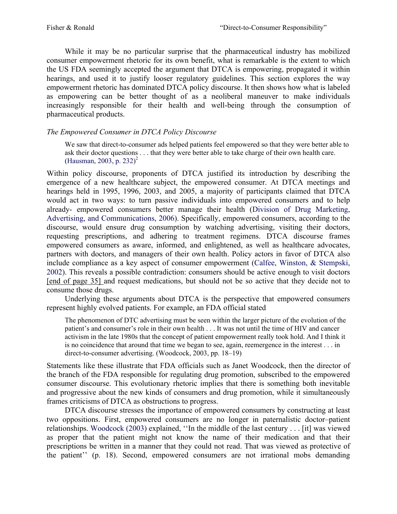While it may be no particular surprise that the pharmaceutical industry has mobilized consumer empowerment rhetoric for its own benefit, what is remarkable is the extent to which the US FDA seemingly accepted the argument that DTCA is empowering, propagated it within hearings, and used it to justify looser regulatory guidelines. This section explores the way empowerment rhetoric has dominated DTCA policy discourse. It then shows how what is labeled as empowering can be better thought of as a neoliberal maneuver to make individuals increasingly responsible for their health and well-being through the consumption of pharmaceutical products.

#### *The Empowered Consumer in DTCA Policy Discourse*

We saw that direct-to-consumer ads helped patients feel empowered so that they were better able to ask their doctor questions . . . that they were better able to take charge of their own health care. (Hausman, 2003, p. 232) 2

Within policy discourse, proponents of DTCA justified its introduction by describing the emergence of a new healthcare subject, the empowered consumer. At DTCA meetings and hearings held in 1995, 1996, 2003, and 2005, a majority of participants claimed that DTCA would act in two ways: to turn passive individuals into empowered consumers and to help already- empowered consumers better manage their health (Division of Drug Marketing, Advertising, and Communications, 2006). Specifically, empowered consumers, according to the discourse, would ensure drug consumption by watching advertising, visiting their doctors, requesting prescriptions, and adhering to treatment regimens. DTCA discourse frames empowered consumers as aware, informed, and enlightened, as well as healthcare advocates, partners with doctors, and managers of their own health. Policy actors in favor of DTCA also include compliance as a key aspect of consumer empowerment (Calfee, Winston, & Stempski, 2002). This reveals a possible contradiction: consumers should be active enough to visit doctors [end of page 35] and request medications, but should not be so active that they decide not to consume those drugs.

Underlying these arguments about DTCA is the perspective that empowered consumers represent highly evolved patients. For example, an FDA official stated

The phenomenon of DTC advertising must be seen within the larger picture of the evolution of the patient's and consumer's role in their own health . . . It was not until the time of HIV and cancer activism in the late 1980s that the concept of patient empowerment really took hold. And I think it is no coincidence that around that time we began to see, again, reemergence in the interest . . . in direct-to-consumer advertising. (Woodcock, 2003, pp. 18–19)

Statements like these illustrate that FDA officials such as Janet Woodcock, then the director of the branch of the FDA responsible for regulating drug promotion, subscribed to the empowered consumer discourse. This evolutionary rhetoric implies that there is something both inevitable and progressive about the new kinds of consumers and drug promotion, while it simultaneously frames criticisms of DTCA as obstructions to progress.

DTCA discourse stresses the importance of empowered consumers by constructing at least two oppositions. First, empowered consumers are no longer in paternalistic doctor–patient relationships. Woodcock (2003) explained, ''In the middle of the last century . . . [it] was viewed as proper that the patient might not know the name of their medication and that their prescriptions be written in a manner that they could not read. That was viewed as protective of the patient'' (p. 18). Second, empowered consumers are not irrational mobs demanding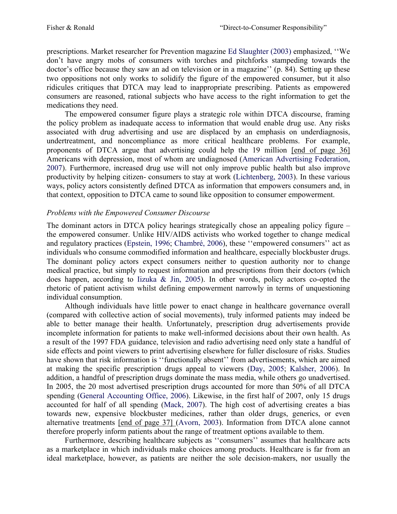prescriptions. Market researcher for Prevention magazine Ed Slaughter (2003) emphasized, ''We don't have angry mobs of consumers with torches and pitchforks stampeding towards the doctor's office because they saw an ad on television or in a magazine'' (p. 84). Setting up these two oppositions not only works to solidify the figure of the empowered consumer, but it also ridicules critiques that DTCA may lead to inappropriate prescribing. Patients as empowered consumers are reasoned, rational subjects who have access to the right information to get the medications they need.

The empowered consumer figure plays a strategic role within DTCA discourse, framing the policy problem as inadequate access to information that would enable drug use. Any risks associated with drug advertising and use are displaced by an emphasis on underdiagnosis, undertreatment, and noncompliance as more critical healthcare problems. For example, proponents of DTCA argue that advertising could help the 19 million [end of page 36] Americans with depression, most of whom are undiagnosed (American Advertising Federation, 2007). Furthermore, increased drug use will not only improve public health but also improve productivity by helping citizen- consumers to stay at work (Lichtenberg, 2003). In these various ways, policy actors consistently defined DTCA as information that empowers consumers and, in that context, opposition to DTCA came to sound like opposition to consumer empowerment.

#### *Problems with the Empowered Consumer Discourse*

The dominant actors in DTCA policy hearings strategically chose an appealing policy figure – the empowered consumer. Unlike HIV/AIDS activists who worked together to change medical and regulatory practices (Epstein, 1996; Chambré, 2006), these ''empowered consumers'' act as individuals who consume commodified information and healthcare, especially blockbuster drugs. The dominant policy actors expect consumers neither to question authority nor to change medical practice, but simply to request information and prescriptions from their doctors (which does happen, according to Iizuka & Jin, 2005). In other words, policy actors co-opted the rhetoric of patient activism whilst defining empowerment narrowly in terms of unquestioning individual consumption.

Although individuals have little power to enact change in healthcare governance overall (compared with collective action of social movements), truly informed patients may indeed be able to better manage their health. Unfortunately, prescription drug advertisements provide incomplete information for patients to make well-informed decisions about their own health. As a result of the 1997 FDA guidance, television and radio advertising need only state a handful of side effects and point viewers to print advertising elsewhere for fuller disclosure of risks. Studies have shown that risk information is ''functionally absent'' from advertisements, which are aimed at making the specific prescription drugs appeal to viewers (Day, 2005; Kalsher, 2006). In addition, a handful of prescription drugs dominate the mass media, while others go unadvertised. In 2005, the 20 most advertised prescription drugs accounted for more than 50% of all DTCA spending (General Accounting Office, 2006). Likewise, in the first half of 2007, only 15 drugs accounted for half of all spending (Mack, 2007). The high cost of advertising creates a bias towards new, expensive blockbuster medicines, rather than older drugs, generics, or even alternative treatments [end of page 37] (Avorn, 2003). Information from DTCA alone cannot therefore properly inform patients about the range of treatment options available to them.

Furthermore, describing healthcare subjects as ''consumers'' assumes that healthcare acts as a marketplace in which individuals make choices among products. Healthcare is far from an ideal marketplace, however, as patients are neither the sole decision-makers, nor usually the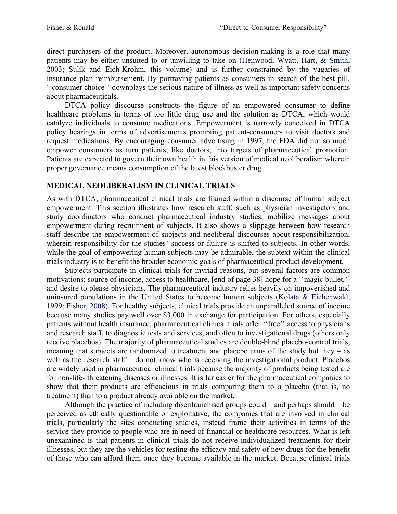direct purchasers of the product. Moreover, autonomous decision-making is a role that many patients may be either unsuited to or unwilling to take on (Henwood, Wyatt, Hart, & Smith, 2003; Sulik and Eich-Krohm, this volume) and is further constrained by the vagaries of insurance plan reimbursement. By portraying patients as consumers in search of the best pill, ''consumer choice'' downplays the serious nature of illness as well as important safety concerns about pharmaceuticals.

DTCA policy discourse constructs the figure of an empowered consumer to define healthcare problems in terms of too little drug use and the solution as DTCA, which would catalyze individuals to consume medications. Empowerment is narrowly conceived in DTCA policy hearings in terms of advertisements prompting patient-consumers to visit doctors and request medications. By encouraging consumer advertising in 1997, the FDA did not so much empower consumers as turn patients, like doctors, into targets of pharmaceutical promotion. Patients are expected to govern their own health in this version of medical neoliberalism wherein proper governance means consumption of the latest blockbuster drug.

# **MEDICAL NEOLIBERALISM IN CLINICAL TRIALS**

As with DTCA, pharmaceutical clinical trials are framed within a discourse of human subject empowerment. This section illustrates how research staff, such as physician investigators and study coordinators who conduct pharmaceutical industry studies, mobilize messages about empowerment during recruitment of subjects. It also shows a slippage between how research staff describe the empowerment of subjects and neoliberal discourses about responsibilization, wherein responsibility for the studies' success or failure is shifted to subjects. In other words, while the goal of empowering human subjects may be admirable, the subtext within the clinical trials industry is to benefit the broader economic goals of pharmaceutical product development.

Subjects participate in clinical trials for myriad reasons, but several factors are common motivations: source of income, access to healthcare, [end of page 38] hope for a ''magic bullet,'' and desire to please physicians. The pharmaceutical industry relies heavily on impoverished and uninsured populations in the United States to become human subjects (Kolata & Eichenwald, 1999; Fisher, 2008). For healthy subjects, clinical trials provide an unparalleled source of income because many studies pay well over \$3,000 in exchange for participation. For others, especially patients without health insurance, pharmaceutical clinical trials offer ''free'' access to physicians and research staff, to diagnostic tests and services, and often to investigational drugs (others only receive placebos). The majority of pharmaceutical studies are double-blind placebo-control trials, meaning that subjects are randomized to treatment and placebo arms of the study but they – as well as the research staff – do not know who is receiving the investigational product. Placebos are widely used in pharmaceutical clinical trials because the majority of products being tested are for non-life- threatening diseases or illnesses. It is far easier for the pharmaceutical companies to show that their products are efficacious in trials comparing them to a placebo (that is, no treatment) than to a product already available on the market.

Although the practice of including disenfranchised groups could – and perhaps should – be perceived as ethically questionable or exploitative, the companies that are involved in clinical trials, particularly the sites conducting studies, instead frame their activities in terms of the service they provide to people who are in need of financial or healthcare resources. What is left unexamined is that patients in clinical trials do not receive individualized treatments for their illnesses, but they are the vehicles for testing the efficacy and safety of new drugs for the benefit of those who can afford them once they become available in the market. Because clinical trials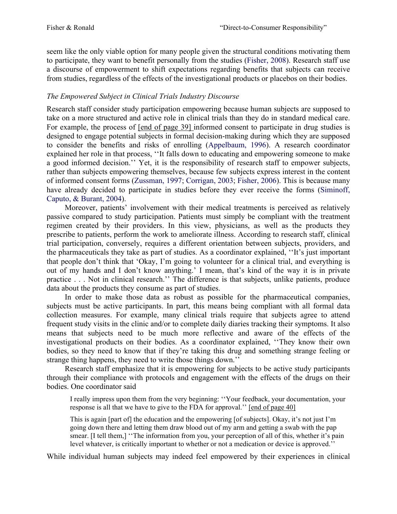seem like the only viable option for many people given the structural conditions motivating them to participate, they want to benefit personally from the studies (Fisher, 2008). Research staff use a discourse of empowerment to shift expectations regarding benefits that subjects can receive from studies, regardless of the effects of the investigational products or placebos on their bodies.

#### *The Empowered Subject in Clinical Trials Industry Discourse*

Research staff consider study participation empowering because human subjects are supposed to take on a more structured and active role in clinical trials than they do in standard medical care. For example, the process of [end of page 39] informed consent to participate in drug studies is designed to engage potential subjects in formal decision-making during which they are supposed to consider the benefits and risks of enrolling (Appelbaum, 1996). A research coordinator explained her role in that process, ''It falls down to educating and empowering someone to make a good informed decision.'' Yet, it is the responsibility of research staff to empower subjects, rather than subjects empowering themselves, because few subjects express interest in the content of informed consent forms (Zussman, 1997; Corrigan, 2003; Fisher, 2006). This is because many have already decided to participate in studies before they ever receive the forms (Siminoff, Caputo, & Burant, 2004).

Moreover, patients' involvement with their medical treatments is perceived as relatively passive compared to study participation. Patients must simply be compliant with the treatment regimen created by their providers. In this view, physicians, as well as the products they prescribe to patients, perform the work to ameliorate illness. According to research staff, clinical trial participation, conversely, requires a different orientation between subjects, providers, and the pharmaceuticals they take as part of studies. As a coordinator explained, ''It's just important that people don't think that 'Okay, I'm going to volunteer for a clinical trial, and everything is out of my hands and I don't know anything.' I mean, that's kind of the way it is in private practice . . . Not in clinical research.'' The difference is that subjects, unlike patients, produce data about the products they consume as part of studies.

In order to make those data as robust as possible for the pharmaceutical companies, subjects must be active participants. In part, this means being compliant with all formal data collection measures. For example, many clinical trials require that subjects agree to attend frequent study visits in the clinic and/or to complete daily diaries tracking their symptoms. It also means that subjects need to be much more reflective and aware of the effects of the investigational products on their bodies. As a coordinator explained, ''They know their own bodies, so they need to know that if they're taking this drug and something strange feeling or strange thing happens, they need to write those things down.''

Research staff emphasize that it is empowering for subjects to be active study participants through their compliance with protocols and engagement with the effects of the drugs on their bodies. One coordinator said

I really impress upon them from the very beginning: ''Your feedback, your documentation, your response is all that we have to give to the FDA for approval.'' [end of page 40]

This is again [part of] the education and the empowering [of subjects]. Okay, it's not just I'm going down there and letting them draw blood out of my arm and getting a swab with the pap smear. [I tell them,] "The information from you, your perception of all of this, whether it's pain level whatever, is critically important to whether or not a medication or device is approved.''

While individual human subjects may indeed feel empowered by their experiences in clinical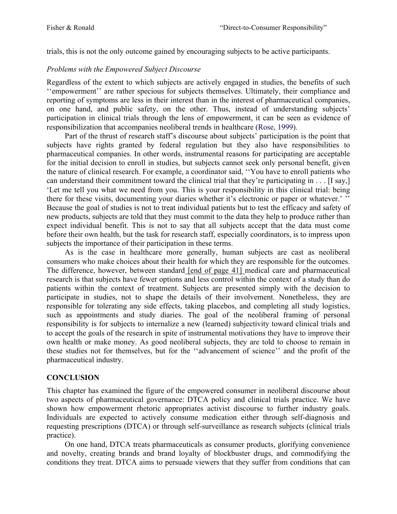trials, this is not the only outcome gained by encouraging subjects to be active participants.

#### *Problems with the Empowered Subject Discourse*

Regardless of the extent to which subjects are actively engaged in studies, the benefits of such ''empowerment'' are rather specious for subjects themselves. Ultimately, their compliance and reporting of symptoms are less in their interest than in the interest of pharmaceutical companies, on one hand, and public safety, on the other. Thus, instead of understanding subjects' participation in clinical trials through the lens of empowerment, it can be seen as evidence of responsibilization that accompanies neoliberal trends in healthcare (Rose, 1999).

Part of the thrust of research staff's discourse about subjects' participation is the point that subjects have rights granted by federal regulation but they also have responsibilities to pharmaceutical companies. In other words, instrumental reasons for participating are acceptable for the initial decision to enroll in studies, but subjects cannot seek only personal benefit, given the nature of clinical research. For example, a coordinator said, ''You have to enroll patients who can understand their commitment toward the clinical trial that they're participating in . . . [I say,] 'Let me tell you what we need from you. This is your responsibility in this clinical trial: being there for these visits, documenting your diaries whether it's electronic or paper or whatever.' '' Because the goal of studies is not to treat individual patients but to test the efficacy and safety of new products, subjects are told that they must commit to the data they help to produce rather than expect individual benefit. This is not to say that all subjects accept that the data must come before their own health, but the task for research staff, especially coordinators, is to impress upon subjects the importance of their participation in these terms.

As is the case in healthcare more generally, human subjects are cast as neoliberal consumers who make choices about their health for which they are responsible for the outcomes. The difference, however, between standard [end of page 41] medical care and pharmaceutical research is that subjects have fewer options and less control within the context of a study than do patients within the context of treatment. Subjects are presented simply with the decision to participate in studies, not to shape the details of their involvement. Nonetheless, they are responsible for tolerating any side effects, taking placebos, and completing all study logistics, such as appointments and study diaries. The goal of the neoliberal framing of personal responsibility is for subjects to internalize a new (learned) subjectivity toward clinical trials and to accept the goals of the research in spite of instrumental motivations they have to improve their own health or make money. As good neoliberal subjects, they are told to choose to remain in these studies not for themselves, but for the ''advancement of science'' and the profit of the pharmaceutical industry.

#### **CONCLUSION**

This chapter has examined the figure of the empowered consumer in neoliberal discourse about two aspects of pharmaceutical governance: DTCA policy and clinical trials practice. We have shown how empowerment rhetoric appropriates activist discourse to further industry goals. Individuals are expected to actively consume medication either through self-diagnosis and requesting prescriptions (DTCA) or through self-surveillance as research subjects (clinical trials practice).

On one hand, DTCA treats pharmaceuticals as consumer products, glorifying convenience and novelty, creating brands and brand loyalty of blockbuster drugs, and commodifying the conditions they treat. DTCA aims to persuade viewers that they suffer from conditions that can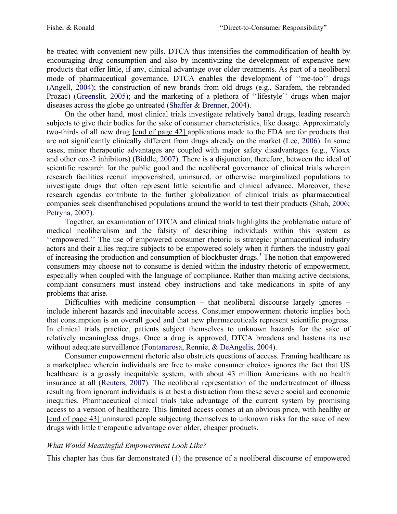be treated with convenient new pills. DTCA thus intensifies the commodification of health by encouraging drug consumption and also by incentivizing the development of expensive new products that offer little, if any, clinical advantage over older treatments. As part of a neoliberal mode of pharmaceutical governance, DTCA enables the development of ''me-too'' drugs (Angell, 2004); the construction of new brands from old drugs (e.g., Sarafem, the rebranded Prozac) (Greenslit, 2005); and the marketing of a plethora of ''lifestyle'' drugs when major diseases across the globe go untreated (Shaffer & Brenner, 2004).

On the other hand, most clinical trials investigate relatively banal drugs, leading research subjects to give their bodies for the sake of consumer characteristics, like dosage. Approximately two-thirds of all new drug [end of page 42] applications made to the FDA are for products that are not significantly clinically different from drugs already on the market (Lee, 2006). In some cases, minor therapeutic advantages are coupled with major safety disadvantages (e.g., Vioxx and other cox-2 inhibitors) (Biddle, 2007). There is a disjunction, therefore, between the ideal of scientific research for the public good and the neoliberal governance of clinical trials wherein research facilities recruit impoverished, uninsured, or otherwise marginalized populations to investigate drugs that often represent little scientific and clinical advance. Moreover, these research agendas contribute to the further globalization of clinical trials as pharmaceutical companies seek disenfranchised populations around the world to test their products (Shah, 2006; Petryna, 2007).

Together, an examination of DTCA and clinical trials highlights the problematic nature of medical neoliberalism and the falsity of describing individuals within this system as ''empowered.'' The use of empowered consumer rhetoric is strategic: pharmaceutical industry actors and their allies require subjects to be empowered solely when it furthers the industry goal of increasing the production and consumption of blockbuster drugs.<sup>3</sup> The notion that empowered consumers may choose not to consume is denied within the industry rhetoric of empowerment, especially when coupled with the language of compliance. Rather than making active decisions, compliant consumers must instead obey instructions and take medications in spite of any problems that arise.

Difficulties with medicine consumption – that neoliberal discourse largely ignores – include inherent hazards and inequitable access. Consumer empowerment rhetoric implies both that consumption is an overall good and that new pharmaceuticals represent scientific progress. In clinical trials practice, patients subject themselves to unknown hazards for the sake of relatively meaningless drugs. Once a drug is approved, DTCA broadens and hastens its use without adequate surveillance (Fontanarosa, Rennie, & DeAngelis, 2004).

Consumer empowerment rhetoric also obstructs questions of access. Framing healthcare as a marketplace wherein individuals are free to make consumer choices ignores the fact that US healthcare is a grossly inequitable system, with about 43 million Americans with no health insurance at all (Reuters, 2007). The neoliberal representation of the undertreatment of illness resulting from ignorant individuals is at best a distraction from these severe social and economic inequities. Pharmaceutical clinical trials take advantage of the current system by promising access to a version of healthcare. This limited access comes at an obvious price, with healthy or [end of page 43] uninsured people subjecting themselves to unknown risks for the sake of new drugs with little therapeutic advantage over older, cheaper products.

#### *What Would Meaningful Empowerment Look Like?*

This chapter has thus far demonstrated (1) the presence of a neoliberal discourse of empowered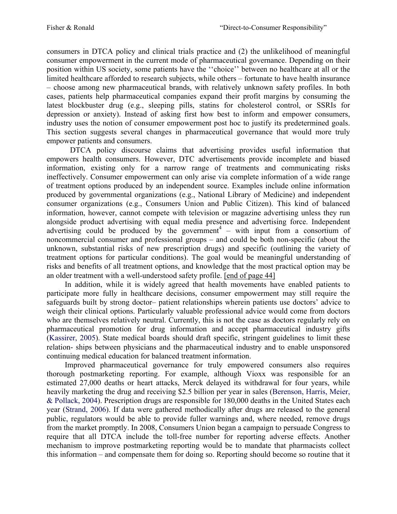consumers in DTCA policy and clinical trials practice and (2) the unlikelihood of meaningful consumer empowerment in the current mode of pharmaceutical governance. Depending on their position within US society, some patients have the ''choice'' between no healthcare at all or the limited healthcare afforded to research subjects, while others – fortunate to have health insurance – choose among new pharmaceutical brands, with relatively unknown safety profiles. In both cases, patients help pharmaceutical companies expand their profit margins by consuming the latest blockbuster drug (e.g., sleeping pills, statins for cholesterol control, or SSRIs for depression or anxiety). Instead of asking first how best to inform and empower consumers, industry uses the notion of consumer empowerment post hoc to justify its predetermined goals. This section suggests several changes in pharmaceutical governance that would more truly empower patients and consumers.

DTCA policy discourse claims that advertising provides useful information that empowers health consumers. However, DTC advertisements provide incomplete and biased information, existing only for a narrow range of treatments and communicating risks ineffectively. Consumer empowerment can only arise via complete information of a wide range of treatment options produced by an independent source. Examples include online information produced by governmental organizations (e.g., National Library of Medicine) and independent consumer organizations (e.g., Consumers Union and Public Citizen). This kind of balanced information, however, cannot compete with television or magazine advertising unless they run alongside product advertising with equal media presence and advertising force. Independent advertising could be produced by the government<sup>4</sup> – with input from a consortium of noncommercial consumer and professional groups – and could be both non-specific (about the unknown, substantial risks of new prescription drugs) and specific (outlining the variety of treatment options for particular conditions). The goal would be meaningful understanding of risks and benefits of all treatment options, and knowledge that the most practical option may be an older treatment with a well-understood safety profile. [end of page 44]

In addition, while it is widely agreed that health movements have enabled patients to participate more fully in healthcare decisions, consumer empowerment may still require the safeguards built by strong doctor– patient relationships wherein patients use doctors' advice to weigh their clinical options. Particularly valuable professional advice would come from doctors who are themselves relatively neutral. Currently, this is not the case as doctors regularly rely on pharmaceutical promotion for drug information and accept pharmaceutical industry gifts (Kassirer, 2005). State medical boards should draft specific, stringent guidelines to limit these relation- ships between physicians and the pharmaceutical industry and to enable unsponsored continuing medical education for balanced treatment information.

Improved pharmaceutical governance for truly empowered consumers also requires thorough postmarketing reporting. For example, although Vioxx was responsible for an estimated 27,000 deaths or heart attacks, Merck delayed its withdrawal for four years, while heavily marketing the drug and receiving \$2.5 billion per year in sales (Berenson, Harris, Meier, & Pollack, 2004). Prescription drugs are responsible for 180,000 deaths in the United States each year (Strand, 2006). If data were gathered methodically after drugs are released to the general public, regulators would be able to provide fuller warnings and, where needed, remove drugs from the market promptly. In 2008, Consumers Union began a campaign to persuade Congress to require that all DTCA include the toll-free number for reporting adverse effects. Another mechanism to improve postmarketing reporting would be to mandate that pharmacists collect this information – and compensate them for doing so. Reporting should become so routine that it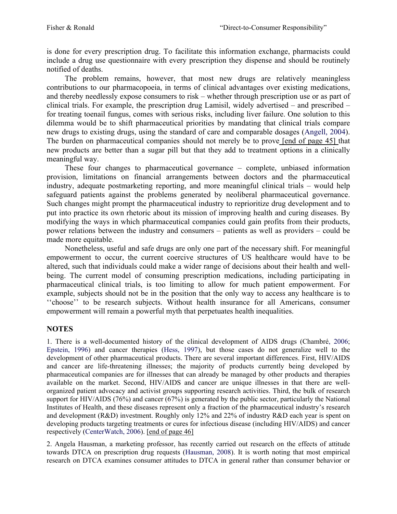is done for every prescription drug. To facilitate this information exchange, pharmacists could include a drug use questionnaire with every prescription they dispense and should be routinely notified of deaths.

The problem remains, however, that most new drugs are relatively meaningless contributions to our pharmacopoeia, in terms of clinical advantages over existing medications, and thereby needlessly expose consumers to risk – whether through prescription use or as part of clinical trials. For example, the prescription drug Lamisil, widely advertised – and prescribed – for treating toenail fungus, comes with serious risks, including liver failure. One solution to this dilemma would be to shift pharmaceutical priorities by mandating that clinical trials compare new drugs to existing drugs, using the standard of care and comparable dosages (Angell, 2004). The burden on pharmaceutical companies should not merely be to prove [end of page 45] that new products are better than a sugar pill but that they add to treatment options in a clinically meaningful way.

These four changes to pharmaceutical governance – complete, unbiased information provision, limitations on financial arrangements between doctors and the pharmaceutical industry, adequate postmarketing reporting, and more meaningful clinical trials – would help safeguard patients against the problems generated by neoliberal pharmaceutical governance. Such changes might prompt the pharmaceutical industry to reprioritize drug development and to put into practice its own rhetoric about its mission of improving health and curing diseases. By modifying the ways in which pharmaceutical companies could gain profits from their products, power relations between the industry and consumers – patients as well as providers – could be made more equitable.

Nonetheless, useful and safe drugs are only one part of the necessary shift. For meaningful empowerment to occur, the current coercive structures of US healthcare would have to be altered, such that individuals could make a wider range of decisions about their health and wellbeing. The current model of consuming prescription medications, including participating in pharmaceutical clinical trials, is too limiting to allow for much patient empowerment. For example, subjects should not be in the position that the only way to access any healthcare is to ''choose'' to be research subjects. Without health insurance for all Americans, consumer empowerment will remain a powerful myth that perpetuates health inequalities.

#### **NOTES**

1. There is a well-documented history of the clinical development of AIDS drugs (Chambré, 2006; Epstein, 1996) and cancer therapies (Hess, 1997), but those cases do not generalize well to the development of other pharmaceutical products. There are several important differences. First, HIV/AIDS and cancer are life-threatening illnesses; the majority of products currently being developed by pharmaceutical companies are for illnesses that can already be managed by other products and therapies available on the market. Second, HIV/AIDS and cancer are unique illnesses in that there are wellorganized patient advocacy and activist groups supporting research activities. Third, the bulk of research support for HIV/AIDS (76%) and cancer (67%) is generated by the public sector, particularly the National Institutes of Health, and these diseases represent only a fraction of the pharmaceutical industry's research and development (R&D) investment. Roughly only 12% and 22% of industry R&D each year is spent on developing products targeting treatments or cures for infectious disease (including HIV/AIDS) and cancer respectively (CenterWatch, 2006). [end of page 46]

2. Angela Hausman, a marketing professor, has recently carried out research on the effects of attitude towards DTCA on prescription drug requests (Hausman, 2008). It is worth noting that most empirical research on DTCA examines consumer attitudes to DTCA in general rather than consumer behavior or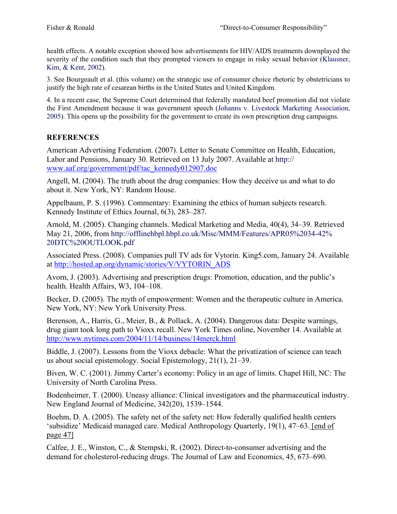health effects. A notable exception showed how advertisements for HIV/AIDS treatments downplayed the severity of the condition such that they prompted viewers to engage in risky sexual behavior (Klausner, Kim, & Kent, 2002).

3. See Bourgeault et al. (this volume) on the strategic use of consumer choice rhetoric by obstetricians to justify the high rate of cesarean births in the United States and United Kingdom.

4. In a recent case, the Supreme Court determined that federally mandated beef promotion did not violate the First Amendment because it was government speech (Johanns v. Livestock Marketing Association, 2005). This opens up the possibility for the government to create its own prescription drug campaigns.

# **REFERENCES**

American Advertising Federation. (2007). Letter to Senate Committee on Health, Education, Labor and Pensions, January 30. Retrieved on 13 July 2007. Available at http:// www.aaf.org/government/pdf/tac\_kennedy012907.doc

Angell, M. (2004). The truth about the drug companies: How they deceive us and what to do about it. New York, NY: Random House.

Appelbaum, P. S. (1996). Commentary: Examining the ethics of human subjects research. Kennedy Institute of Ethics Journal, 6(3), 283–287.

Arnold, M. (2005). Changing channels. Medical Marketing and Media, 40(4), 34–39. Retrieved May 21, 2006, from http://offlinehbpl.hbpl.co.uk/Misc/MMM/Features/APR05%2034-42% 20DTC%20OUTLOOK.pdf

Associated Press. (2008). Companies pull TV ads for Vytorin. King5.com, January 24. Available at http://hosted.ap.org/dynamic/stories/V/VYTORIN\_ADS

Avorn, J. (2003). Advertising and prescription drugs: Promotion, education, and the public's health. Health Affairs, W3, 104–108.

Becker, D. (2005). The myth of empowerment: Women and the therapeutic culture in America. New York, NY: New York University Press.

Berenson, A., Harris, G., Meier, B., & Pollack, A. (2004). Dangerous data: Despite warnings, drug giant took long path to Vioxx recall. New York Times online, November 14. Available at http://www.nytimes.com/2004/11/14/business/14merck.html

Biddle, J. (2007). Lessons from the Vioxx debacle: What the privatization of science can teach us about social epistemology. Social Epistemology, 21(1), 21–39.

Biven, W. C. (2001). Jimmy Carter's economy: Policy in an age of limits. Chapel Hill, NC: The University of North Carolina Press.

Bodenheimer, T. (2000). Uneasy alliance: Clinical investigators and the pharmaceutical industry. New England Journal of Medicine, 342(20), 1539–1544.

Boehm, D. A. (2005). The safety net of the safety net: How federally qualified health centers 'subsidize' Medicaid managed care. Medical Anthropology Quarterly, 19(1), 47–63. [end of page 47]

Calfee, J. E., Winston, C., & Stempski, R. (2002). Direct-to-consumer advertising and the demand for cholesterol-reducing drugs. The Journal of Law and Economics, 45, 673–690.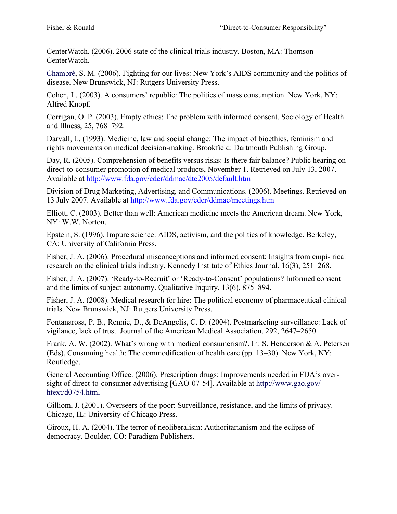CenterWatch. (2006). 2006 state of the clinical trials industry. Boston, MA: Thomson CenterWatch.

Chambré, S. M. (2006). Fighting for our lives: New York's AIDS community and the politics of disease. New Brunswick, NJ: Rutgers University Press.

Cohen, L. (2003). A consumers' republic: The politics of mass consumption. New York, NY: Alfred Knopf.

Corrigan, O. P. (2003). Empty ethics: The problem with informed consent. Sociology of Health and Illness, 25, 768–792.

Darvall, L. (1993). Medicine, law and social change: The impact of bioethics, feminism and rights movements on medical decision-making. Brookfield: Dartmouth Publishing Group.

Day, R. (2005). Comprehension of benefits versus risks: Is there fair balance? Public hearing on direct-to-consumer promotion of medical products, November 1. Retrieved on July 13, 2007. Available at http://www.fda.gov/cder/ddmac/dtc2005/default.htm

Division of Drug Marketing, Advertising, and Communications. (2006). Meetings. Retrieved on 13 July 2007. Available at http://www.fda.gov/cder/ddmac/meetings.htm

Elliott, C. (2003). Better than well: American medicine meets the American dream. New York, NY: W.W. Norton.

Epstein, S. (1996). Impure science: AIDS, activism, and the politics of knowledge. Berkeley, CA: University of California Press.

Fisher, J. A. (2006). Procedural misconceptions and informed consent: Insights from empi- rical research on the clinical trials industry. Kennedy Institute of Ethics Journal, 16(3), 251–268.

Fisher, J. A. (2007). 'Ready-to-Recruit' or 'Ready-to-Consent' populations? Informed consent and the limits of subject autonomy. Qualitative Inquiry, 13(6), 875–894.

Fisher, J. A. (2008). Medical research for hire: The political economy of pharmaceutical clinical trials. New Brunswick, NJ: Rutgers University Press.

Fontanarosa, P. B., Rennie, D., & DeAngelis, C. D. (2004). Postmarketing surveillance: Lack of vigilance, lack of trust. Journal of the American Medical Association, 292, 2647–2650.

Frank, A. W. (2002). What's wrong with medical consumerism?. In: S. Henderson & A. Petersen (Eds), Consuming health: The commodification of health care (pp. 13–30). New York, NY: Routledge.

General Accounting Office. (2006). Prescription drugs: Improvements needed in FDA's oversight of direct-to-consumer advertising [GAO-07-54]. Available at http://www.gao.gov/ htext/d0754.html

Gilliom, J. (2001). Overseers of the poor: Surveillance, resistance, and the limits of privacy. Chicago, IL: University of Chicago Press.

Giroux, H. A. (2004). The terror of neoliberalism: Authoritarianism and the eclipse of democracy. Boulder, CO: Paradigm Publishers.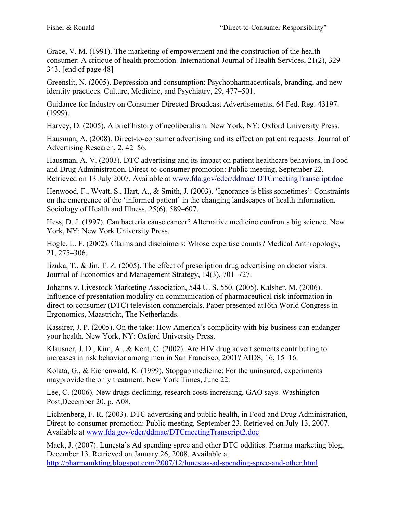Grace, V. M. (1991). The marketing of empowerment and the construction of the health consumer: A critique of health promotion. International Journal of Health Services, 21(2), 329– 343. [end of page 48]

Greenslit, N. (2005). Depression and consumption: Psychopharmaceuticals, branding, and new identity practices. Culture, Medicine, and Psychiatry, 29, 477–501.

Guidance for Industry on Consumer-Directed Broadcast Advertisements, 64 Fed. Reg. 43197. (1999).

Harvey, D. (2005). A brief history of neoliberalism. New York, NY: Oxford University Press.

Hausman, A. (2008). Direct-to-consumer advertising and its effect on patient requests. Journal of Advertising Research, 2, 42–56.

Hausman, A. V. (2003). DTC advertising and its impact on patient healthcare behaviors, in Food and Drug Administration, Direct-to-consumer promotion: Public meeting, September 22. Retrieved on 13 July 2007. Available at www.fda.gov/cder/ddmac/ DTCmeetingTranscript.doc

Henwood, F., Wyatt, S., Hart, A., & Smith, J. (2003). 'Ignorance is bliss sometimes': Constraints on the emergence of the 'informed patient' in the changing landscapes of health information. Sociology of Health and Illness, 25(6), 589–607.

Hess, D. J. (1997). Can bacteria cause cancer? Alternative medicine confronts big science. New York, NY: New York University Press.

Hogle, L. F. (2002). Claims and disclaimers: Whose expertise counts? Medical Anthropology, 21, 275–306.

Iizuka, T., & Jin, T. Z. (2005). The effect of prescription drug advertising on doctor visits. Journal of Economics and Management Strategy, 14(3), 701–727.

Johanns v. Livestock Marketing Association, 544 U. S. 550. (2005). Kalsher, M. (2006). Influence of presentation modality on communication of pharmaceutical risk information in direct-to-consumer (DTC) television commercials. Paper presented at16th World Congress in Ergonomics, Maastricht, The Netherlands.

Kassirer, J. P. (2005). On the take: How America's complicity with big business can endanger your health. New York, NY: Oxford University Press.

Klausner, J. D., Kim, A., & Kent, C. (2002). Are HIV drug advertisements contributing to increases in risk behavior among men in San Francisco, 2001? AIDS, 16, 15–16.

Kolata, G., & Eichenwald, K. (1999). Stopgap medicine: For the uninsured, experiments mayprovide the only treatment. New York Times, June 22.

Lee, C. (2006). New drugs declining, research costs increasing, GAO says. Washington Post,December 20, p. A08.

Lichtenberg, F. R. (2003). DTC advertising and public health, in Food and Drug Administration, Direct-to-consumer promotion: Public meeting, September 23. Retrieved on July 13, 2007. Available at www.fda.gov/cder/ddmac/DTCmeetingTranscript2.doc

Mack, J. (2007). Lunesta's Ad spending spree and other DTC oddities. Pharma marketing blog, December 13. Retrieved on January 26, 2008. Available at http://pharmamkting.blogspot.com/2007/12/lunestas-ad-spending-spree-and-other.html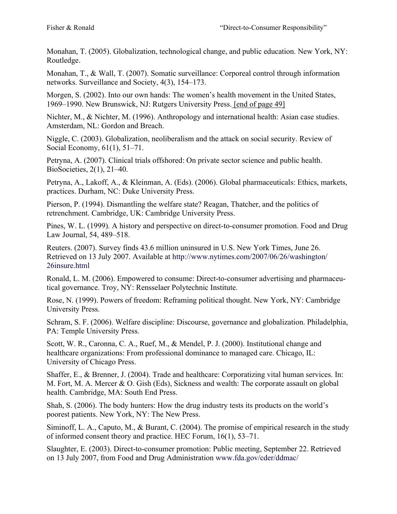Monahan, T. (2005). Globalization, technological change, and public education. New York, NY: Routledge.

Monahan, T., & Wall, T. (2007). Somatic surveillance: Corporeal control through information networks. Surveillance and Society, 4(3), 154–173.

Morgen, S. (2002). Into our own hands: The women's health movement in the United States, 1969–1990. New Brunswick, NJ: Rutgers University Press. [end of page 49]

Nichter, M., & Nichter, M. (1996). Anthropology and international health: Asian case studies. Amsterdam, NL: Gordon and Breach.

Niggle, C. (2003). Globalization, neoliberalism and the attack on social security. Review of Social Economy, 61(1), 51–71.

Petryna, A. (2007). Clinical trials offshored: On private sector science and public health. BioSocieties, 2(1), 21–40.

Petryna, A., Lakoff, A., & Kleinman, A. (Eds). (2006). Global pharmaceuticals: Ethics, markets, practices. Durham, NC: Duke University Press.

Pierson, P. (1994). Dismantling the welfare state? Reagan, Thatcher, and the politics of retrenchment. Cambridge, UK: Cambridge University Press.

Pines, W. L. (1999). A history and perspective on direct-to-consumer promotion. Food and Drug Law Journal, 54, 489–518.

Reuters. (2007). Survey finds 43.6 million uninsured in U.S. New York Times, June 26. Retrieved on 13 July 2007. Available at http://www.nytimes.com/2007/06/26/washington/ 26insure.html

Ronald, L. M. (2006). Empowered to consume: Direct-to-consumer advertising and pharmaceutical governance. Troy, NY: Rensselaer Polytechnic Institute.

Rose, N. (1999). Powers of freedom: Reframing political thought. New York, NY: Cambridge University Press.

Schram, S. F. (2006). Welfare discipline: Discourse, governance and globalization. Philadelphia, PA: Temple University Press.

Scott, W. R., Caronna, C. A., Ruef, M., & Mendel, P. J. (2000). Institutional change and healthcare organizations: From professional dominance to managed care. Chicago, IL: University of Chicago Press.

Shaffer, E., & Brenner, J. (2004). Trade and healthcare: Corporatizing vital human services. In: M. Fort, M. A. Mercer & O. Gish (Eds), Sickness and wealth: The corporate assault on global health. Cambridge, MA: South End Press.

Shah, S. (2006). The body hunters: How the drug industry tests its products on the world's poorest patients. New York, NY: The New Press.

Siminoff, L. A., Caputo, M., & Burant, C. (2004). The promise of empirical research in the study of informed consent theory and practice. HEC Forum, 16(1), 53–71.

Slaughter, E. (2003). Direct-to-consumer promotion: Public meeting, September 22. Retrieved on 13 July 2007, from Food and Drug Administration www.fda.gov/cder/ddmac/